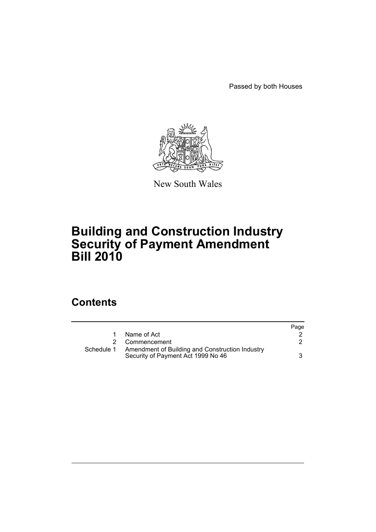Passed by both Houses



New South Wales

# **Building and Construction Industry Security of Payment Amendment Bill 2010**

# **Contents**

|            |                                                                                       | Page |
|------------|---------------------------------------------------------------------------------------|------|
|            | Name of Act                                                                           |      |
|            | Commencement                                                                          |      |
| Schedule 1 | Amendment of Building and Construction Industry<br>Security of Payment Act 1999 No 46 | 3    |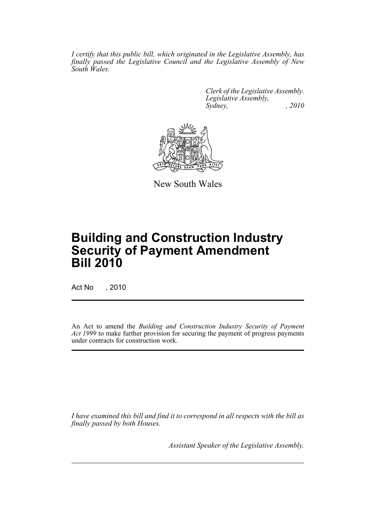*I certify that this public bill, which originated in the Legislative Assembly, has finally passed the Legislative Council and the Legislative Assembly of New South Wales.*

> *Clerk of the Legislative Assembly. Legislative Assembly, Sydney, , 2010*



New South Wales

# **Building and Construction Industry Security of Payment Amendment Bill 2010**

Act No , 2010

An Act to amend the *Building and Construction Industry Security of Payment Act 1999* to make further provision for securing the payment of progress payments under contracts for construction work.

*I have examined this bill and find it to correspond in all respects with the bill as finally passed by both Houses.*

*Assistant Speaker of the Legislative Assembly.*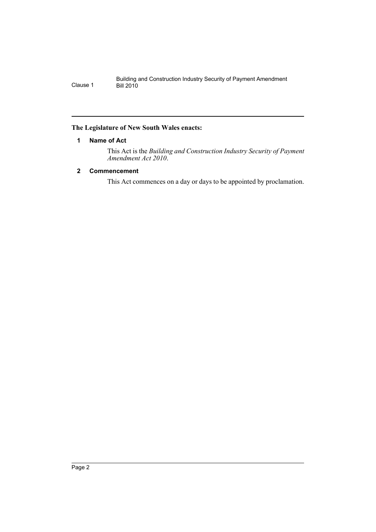## <span id="page-3-0"></span>**The Legislature of New South Wales enacts:**

## **1 Name of Act**

This Act is the *Building and Construction Industry Security of Payment Amendment Act 2010*.

# <span id="page-3-1"></span>**2 Commencement**

This Act commences on a day or days to be appointed by proclamation.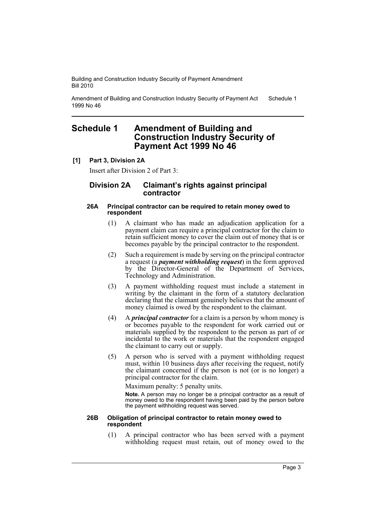Amendment of Building and Construction Industry Security of Payment Act 1999 No 46 Schedule 1

# <span id="page-4-0"></span>**Schedule 1 Amendment of Building and Construction Industry Security of Payment Act 1999 No 46**

### **[1] Part 3, Division 2A**

Insert after Division 2 of Part 3:

### **Division 2A Claimant's rights against principal contractor**

#### **26A Principal contractor can be required to retain money owed to respondent**

- (1) A claimant who has made an adjudication application for a payment claim can require a principal contractor for the claim to retain sufficient money to cover the claim out of money that is or becomes payable by the principal contractor to the respondent.
- (2) Such a requirement is made by serving on the principal contractor a request (a *payment withholding request*) in the form approved by the Director-General of the Department of Services, Technology and Administration.
- (3) A payment withholding request must include a statement in writing by the claimant in the form of a statutory declaration declaring that the claimant genuinely believes that the amount of money claimed is owed by the respondent to the claimant.
- (4) A *principal contractor* for a claim is a person by whom money is or becomes payable to the respondent for work carried out or materials supplied by the respondent to the person as part of or incidental to the work or materials that the respondent engaged the claimant to carry out or supply.
- (5) A person who is served with a payment withholding request must, within 10 business days after receiving the request, notify the claimant concerned if the person is not (or is no longer) a principal contractor for the claim.

Maximum penalty: 5 penalty units.

**Note.** A person may no longer be a principal contractor as a result of money owed to the respondent having been paid by the person before the payment withholding request was served.

#### **26B Obligation of principal contractor to retain money owed to respondent**

(1) A principal contractor who has been served with a payment withholding request must retain, out of money owed to the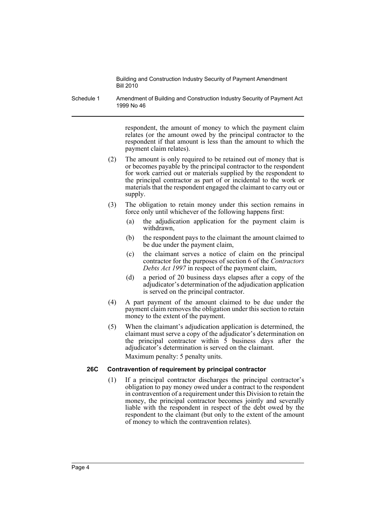Schedule 1 Amendment of Building and Construction Industry Security of Payment Act 1999 No 46

> respondent, the amount of money to which the payment claim relates (or the amount owed by the principal contractor to the respondent if that amount is less than the amount to which the payment claim relates).

- (2) The amount is only required to be retained out of money that is or becomes payable by the principal contractor to the respondent for work carried out or materials supplied by the respondent to the principal contractor as part of or incidental to the work or materials that the respondent engaged the claimant to carry out or supply.
- (3) The obligation to retain money under this section remains in force only until whichever of the following happens first:
	- (a) the adjudication application for the payment claim is withdrawn,
	- (b) the respondent pays to the claimant the amount claimed to be due under the payment claim,
	- (c) the claimant serves a notice of claim on the principal contractor for the purposes of section 6 of the *Contractors Debts Act 1997* in respect of the payment claim,
	- (d) a period of 20 business days elapses after a copy of the adjudicator's determination of the adjudication application is served on the principal contractor.
- (4) A part payment of the amount claimed to be due under the payment claim removes the obligation under this section to retain money to the extent of the payment.
- (5) When the claimant's adjudication application is determined, the claimant must serve a copy of the adjudicator's determination on the principal contractor within  $\overline{5}$  business days after the adjudicator's determination is served on the claimant. Maximum penalty: 5 penalty units.

### **26C Contravention of requirement by principal contractor**

(1) If a principal contractor discharges the principal contractor's obligation to pay money owed under a contract to the respondent in contravention of a requirement under this Division to retain the money, the principal contractor becomes jointly and severally liable with the respondent in respect of the debt owed by the respondent to the claimant (but only to the extent of the amount of money to which the contravention relates).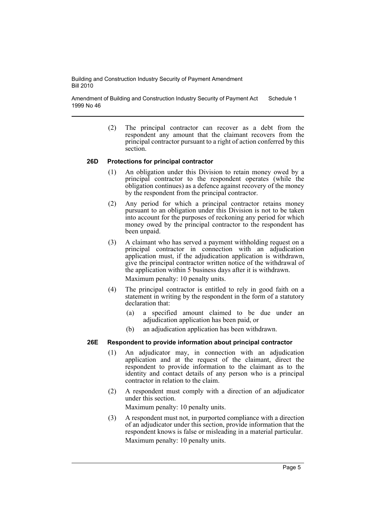Amendment of Building and Construction Industry Security of Payment Act 1999 No 46 Schedule 1

> (2) The principal contractor can recover as a debt from the respondent any amount that the claimant recovers from the principal contractor pursuant to a right of action conferred by this section.

#### **26D Protections for principal contractor**

- (1) An obligation under this Division to retain money owed by a principal contractor to the respondent operates (while the obligation continues) as a defence against recovery of the money by the respondent from the principal contractor.
- (2) Any period for which a principal contractor retains money pursuant to an obligation under this Division is not to be taken into account for the purposes of reckoning any period for which money owed by the principal contractor to the respondent has been unpaid.
- (3) A claimant who has served a payment withholding request on a principal contractor in connection with an adjudication application must, if the adjudication application is withdrawn, give the principal contractor written notice of the withdrawal of the application within 5 business days after it is withdrawn. Maximum penalty: 10 penalty units.
- (4) The principal contractor is entitled to rely in good faith on a statement in writing by the respondent in the form of a statutory declaration that:
	- (a) a specified amount claimed to be due under an adjudication application has been paid, or
	- (b) an adjudication application has been withdrawn.

#### **26E Respondent to provide information about principal contractor**

- (1) An adjudicator may, in connection with an adjudication application and at the request of the claimant, direct the respondent to provide information to the claimant as to the identity and contact details of any person who is a principal contractor in relation to the claim.
- (2) A respondent must comply with a direction of an adjudicator under this section.

Maximum penalty: 10 penalty units.

(3) A respondent must not, in purported compliance with a direction of an adjudicator under this section, provide information that the respondent knows is false or misleading in a material particular. Maximum penalty: 10 penalty units.